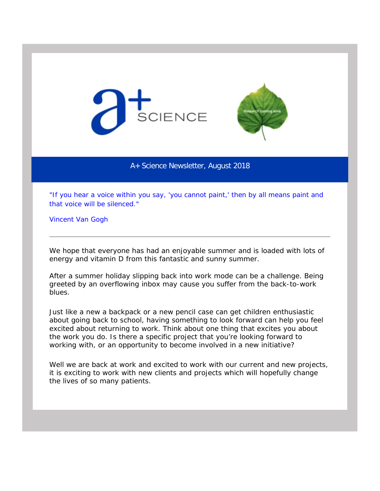



## A+ Science Newsletter, August 2018

*"If you hear a voice within you say, 'you cannot paint,' then by all means paint and that voice will be silenced."* 

Vincent Van Gogh

We hope that everyone has had an enjoyable summer and is loaded with lots of energy and vitamin D from this fantastic and sunny summer.

After a summer holiday slipping back into work mode can be a challenge. Being greeted by an overflowing inbox may cause you suffer from the back-to-work blues.

Just like a new a backpack or a new pencil case can get children enthusiastic about going back to school, having something to look forward can help you feel excited about returning to work. Think about one thing that excites you about the work you do. Is there a specific project that you're looking forward to working with, or an opportunity to become involved in a new initiative?

Well we are back at work and excited to work with our current and new projects, it is exciting to work with new clients and projects which will hopefully change the lives of so many patients.